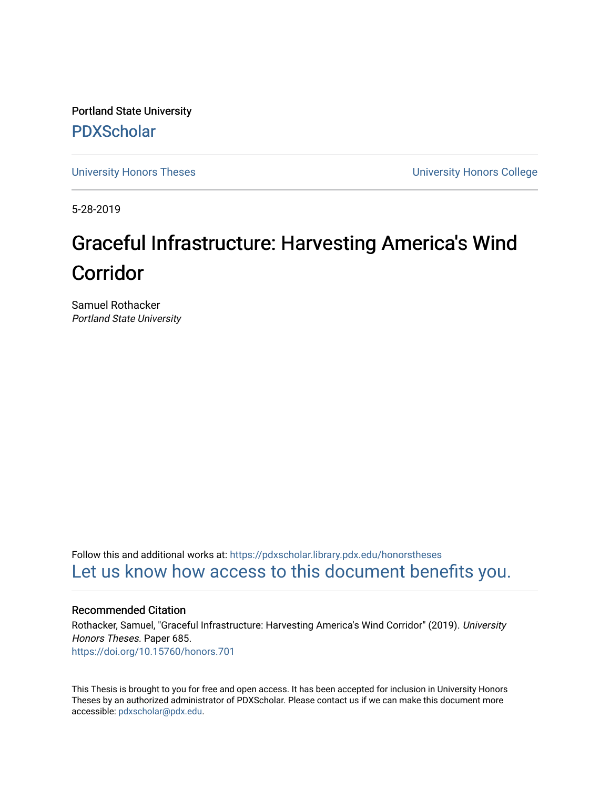Portland State University [PDXScholar](https://pdxscholar.library.pdx.edu/)

[University Honors Theses](https://pdxscholar.library.pdx.edu/honorstheses) [University Honors College](https://pdxscholar.library.pdx.edu/honors) 

5-28-2019

# Graceful Infrastructure: Harvesting America's Wind Corridor

Samuel Rothacker Portland State University

Follow this and additional works at: [https://pdxscholar.library.pdx.edu/honorstheses](https://pdxscholar.library.pdx.edu/honorstheses?utm_source=pdxscholar.library.pdx.edu%2Fhonorstheses%2F685&utm_medium=PDF&utm_campaign=PDFCoverPages)  [Let us know how access to this document benefits you.](http://library.pdx.edu/services/pdxscholar-services/pdxscholar-feedback/) 

#### Recommended Citation

Rothacker, Samuel, "Graceful Infrastructure: Harvesting America's Wind Corridor" (2019). University Honors Theses. Paper 685. <https://doi.org/10.15760/honors.701>

This Thesis is brought to you for free and open access. It has been accepted for inclusion in University Honors Theses by an authorized administrator of PDXScholar. Please contact us if we can make this document more accessible: [pdxscholar@pdx.edu.](mailto:pdxscholar@pdx.edu)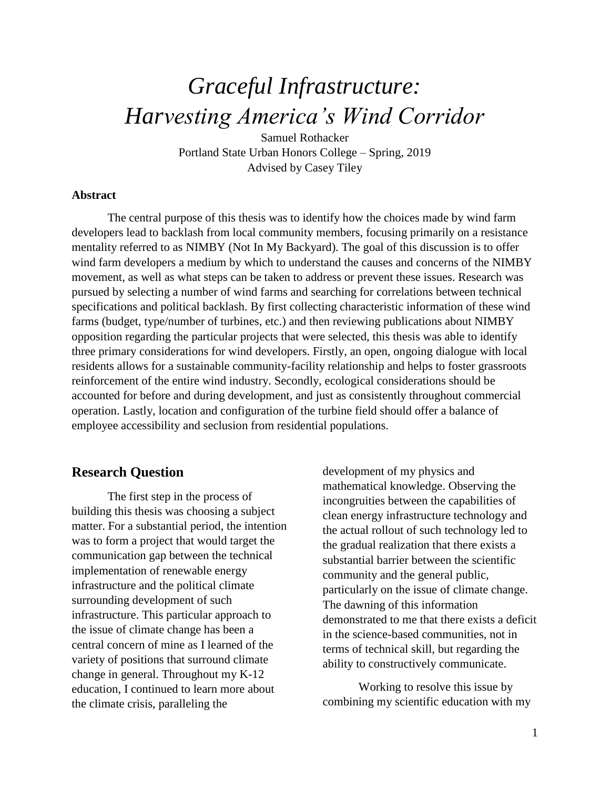# *Graceful Infrastructure: Harvesting America's Wind Corridor*

Samuel Rothacker Portland State Urban Honors College – Spring, 2019 Advised by Casey Tiley

#### **Abstract**

The central purpose of this thesis was to identify how the choices made by wind farm developers lead to backlash from local community members, focusing primarily on a resistance mentality referred to as NIMBY (Not In My Backyard). The goal of this discussion is to offer wind farm developers a medium by which to understand the causes and concerns of the NIMBY movement, as well as what steps can be taken to address or prevent these issues. Research was pursued by selecting a number of wind farms and searching for correlations between technical specifications and political backlash. By first collecting characteristic information of these wind farms (budget, type/number of turbines, etc.) and then reviewing publications about NIMBY opposition regarding the particular projects that were selected, this thesis was able to identify three primary considerations for wind developers. Firstly, an open, ongoing dialogue with local residents allows for a sustainable community-facility relationship and helps to foster grassroots reinforcement of the entire wind industry. Secondly, ecological considerations should be accounted for before and during development, and just as consistently throughout commercial operation. Lastly, location and configuration of the turbine field should offer a balance of employee accessibility and seclusion from residential populations.

#### **Research Question**

The first step in the process of building this thesis was choosing a subject matter. For a substantial period, the intention was to form a project that would target the communication gap between the technical implementation of renewable energy infrastructure and the political climate surrounding development of such infrastructure. This particular approach to the issue of climate change has been a central concern of mine as I learned of the variety of positions that surround climate change in general. Throughout my K-12 education, I continued to learn more about the climate crisis, paralleling the

development of my physics and mathematical knowledge. Observing the incongruities between the capabilities of clean energy infrastructure technology and the actual rollout of such technology led to the gradual realization that there exists a substantial barrier between the scientific community and the general public, particularly on the issue of climate change. The dawning of this information demonstrated to me that there exists a deficit in the science-based communities, not in terms of technical skill, but regarding the ability to constructively communicate.

Working to resolve this issue by combining my scientific education with my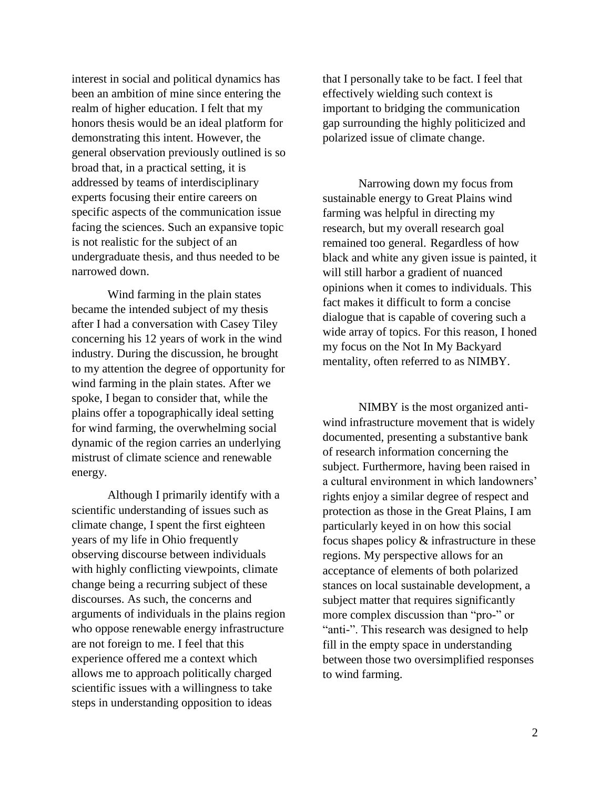interest in social and political dynamics has been an ambition of mine since entering the realm of higher education. I felt that my honors thesis would be an ideal platform for demonstrating this intent. However, the general observation previously outlined is so broad that, in a practical setting, it is addressed by teams of interdisciplinary experts focusing their entire careers on specific aspects of the communication issue facing the sciences. Such an expansive topic is not realistic for the subject of an undergraduate thesis, and thus needed to be narrowed down.

Wind farming in the plain states became the intended subject of my thesis after I had a conversation with Casey Tiley concerning his 12 years of work in the wind industry. During the discussion, he brought to my attention the degree of opportunity for wind farming in the plain states. After we spoke, I began to consider that, while the plains offer a topographically ideal setting for wind farming, the overwhelming social dynamic of the region carries an underlying mistrust of climate science and renewable energy.

Although I primarily identify with a scientific understanding of issues such as climate change, I spent the first eighteen years of my life in Ohio frequently observing discourse between individuals with highly conflicting viewpoints, climate change being a recurring subject of these discourses. As such, the concerns and arguments of individuals in the plains region who oppose renewable energy infrastructure are not foreign to me. I feel that this experience offered me a context which allows me to approach politically charged scientific issues with a willingness to take steps in understanding opposition to ideas

that I personally take to be fact. I feel that effectively wielding such context is important to bridging the communication gap surrounding the highly politicized and polarized issue of climate change.

Narrowing down my focus from sustainable energy to Great Plains wind farming was helpful in directing my research, but my overall research goal remained too general. Regardless of how black and white any given issue is painted, it will still harbor a gradient of nuanced opinions when it comes to individuals. This fact makes it difficult to form a concise dialogue that is capable of covering such a wide array of topics. For this reason, I honed my focus on the Not In My Backyard mentality, often referred to as NIMBY.

NIMBY is the most organized antiwind infrastructure movement that is widely documented, presenting a substantive bank of research information concerning the subject. Furthermore, having been raised in a cultural environment in which landowners' rights enjoy a similar degree of respect and protection as those in the Great Plains, I am particularly keyed in on how this social focus shapes policy & infrastructure in these regions. My perspective allows for an acceptance of elements of both polarized stances on local sustainable development, a subject matter that requires significantly more complex discussion than "pro-" or "anti-". This research was designed to help fill in the empty space in understanding between those two oversimplified responses to wind farming.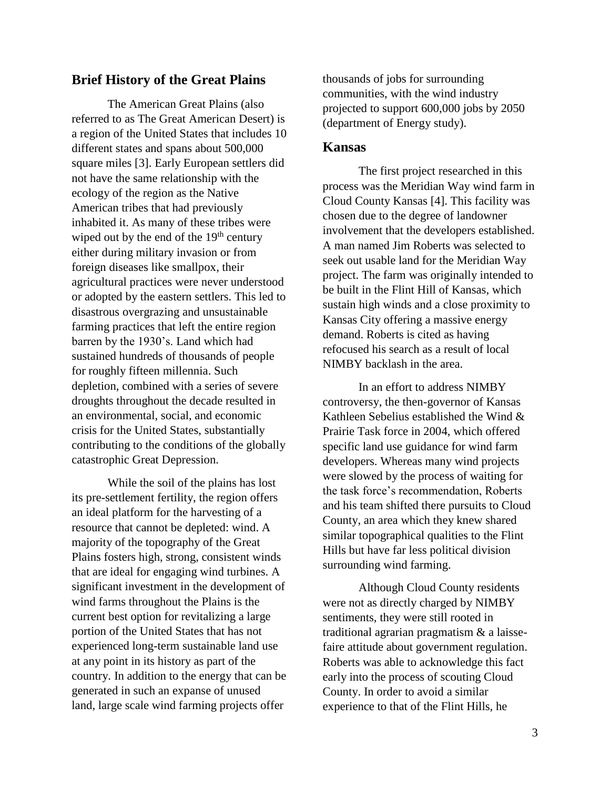### **Brief History of the Great Plains**

The American Great Plains (also referred to as The Great American Desert) is a region of the United States that includes 10 different states and spans about 500,000 square miles [3]. Early European settlers did not have the same relationship with the ecology of the region as the Native American tribes that had previously inhabited it. As many of these tribes were wiped out by the end of the  $19<sup>th</sup>$  century either during military invasion or from foreign diseases like smallpox, their agricultural practices were never understood or adopted by the eastern settlers. This led to disastrous overgrazing and unsustainable farming practices that left the entire region barren by the 1930's. Land which had sustained hundreds of thousands of people for roughly fifteen millennia. Such depletion, combined with a series of severe droughts throughout the decade resulted in an environmental, social, and economic crisis for the United States, substantially contributing to the conditions of the globally catastrophic Great Depression.

While the soil of the plains has lost its pre-settlement fertility, the region offers an ideal platform for the harvesting of a resource that cannot be depleted: wind. A majority of the topography of the Great Plains fosters high, strong, consistent winds that are ideal for engaging wind turbines. A significant investment in the development of wind farms throughout the Plains is the current best option for revitalizing a large portion of the United States that has not experienced long-term sustainable land use at any point in its history as part of the country. In addition to the energy that can be generated in such an expanse of unused land, large scale wind farming projects offer

thousands of jobs for surrounding communities, with the wind industry projected to support 600,000 jobs by 2050 (department of Energy study).

#### **Kansas**

The first project researched in this process was the Meridian Way wind farm in Cloud County Kansas [4]. This facility was chosen due to the degree of landowner involvement that the developers established. A man named Jim Roberts was selected to seek out usable land for the Meridian Way project. The farm was originally intended to be built in the Flint Hill of Kansas, which sustain high winds and a close proximity to Kansas City offering a massive energy demand. Roberts is cited as having refocused his search as a result of local NIMBY backlash in the area.

In an effort to address NIMBY controversy, the then-governor of Kansas Kathleen Sebelius established the Wind & Prairie Task force in 2004, which offered specific land use guidance for wind farm developers. Whereas many wind projects were slowed by the process of waiting for the task force's recommendation, Roberts and his team shifted there pursuits to Cloud County, an area which they knew shared similar topographical qualities to the Flint Hills but have far less political division surrounding wind farming.

Although Cloud County residents were not as directly charged by NIMBY sentiments, they were still rooted in traditional agrarian pragmatism & a laissefaire attitude about government regulation. Roberts was able to acknowledge this fact early into the process of scouting Cloud County. In order to avoid a similar experience to that of the Flint Hills, he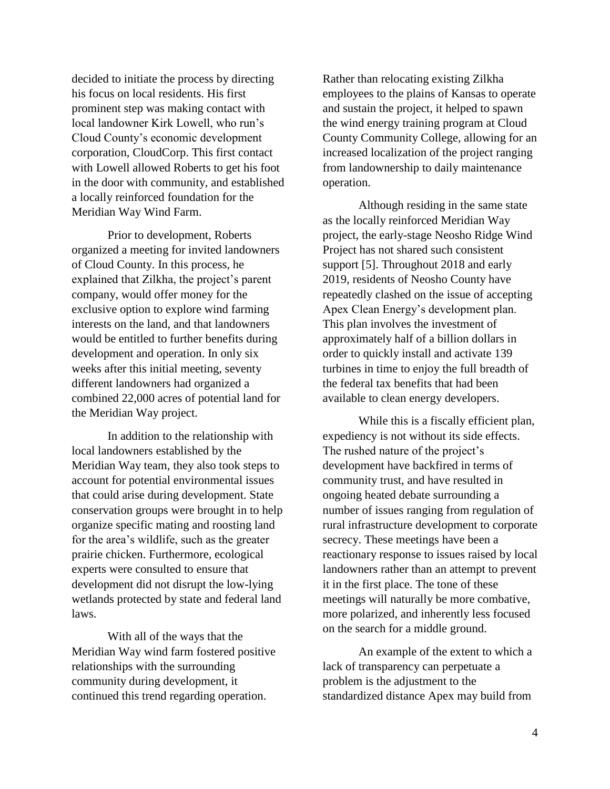decided to initiate the process by directing his focus on local residents. His first prominent step was making contact with local landowner Kirk Lowell, who run's Cloud County's economic development corporation, CloudCorp. This first contact with Lowell allowed Roberts to get his foot in the door with community, and established a locally reinforced foundation for the Meridian Way Wind Farm.

Prior to development, Roberts organized a meeting for invited landowners of Cloud County. In this process, he explained that Zilkha, the project's parent company, would offer money for the exclusive option to explore wind farming interests on the land, and that landowners would be entitled to further benefits during development and operation. In only six weeks after this initial meeting, seventy different landowners had organized a combined 22,000 acres of potential land for the Meridian Way project.

In addition to the relationship with local landowners established by the Meridian Way team, they also took steps to account for potential environmental issues that could arise during development. State conservation groups were brought in to help organize specific mating and roosting land for the area's wildlife, such as the greater prairie chicken. Furthermore, ecological experts were consulted to ensure that development did not disrupt the low-lying wetlands protected by state and federal land laws.

With all of the ways that the Meridian Way wind farm fostered positive relationships with the surrounding community during development, it continued this trend regarding operation.

Rather than relocating existing Zilkha employees to the plains of Kansas to operate and sustain the project, it helped to spawn the wind energy training program at Cloud County Community College, allowing for an increased localization of the project ranging from landownership to daily maintenance operation.

Although residing in the same state as the locally reinforced Meridian Way project, the early-stage Neosho Ridge Wind Project has not shared such consistent support [5]. Throughout 2018 and early 2019, residents of Neosho County have repeatedly clashed on the issue of accepting Apex Clean Energy's development plan. This plan involves the investment of approximately half of a billion dollars in order to quickly install and activate 139 turbines in time to enjoy the full breadth of the federal tax benefits that had been available to clean energy developers.

While this is a fiscally efficient plan, expediency is not without its side effects. The rushed nature of the project's development have backfired in terms of community trust, and have resulted in ongoing heated debate surrounding a number of issues ranging from regulation of rural infrastructure development to corporate secrecy. These meetings have been a reactionary response to issues raised by local landowners rather than an attempt to prevent it in the first place. The tone of these meetings will naturally be more combative, more polarized, and inherently less focused on the search for a middle ground.

An example of the extent to which a lack of transparency can perpetuate a problem is the adjustment to the standardized distance Apex may build from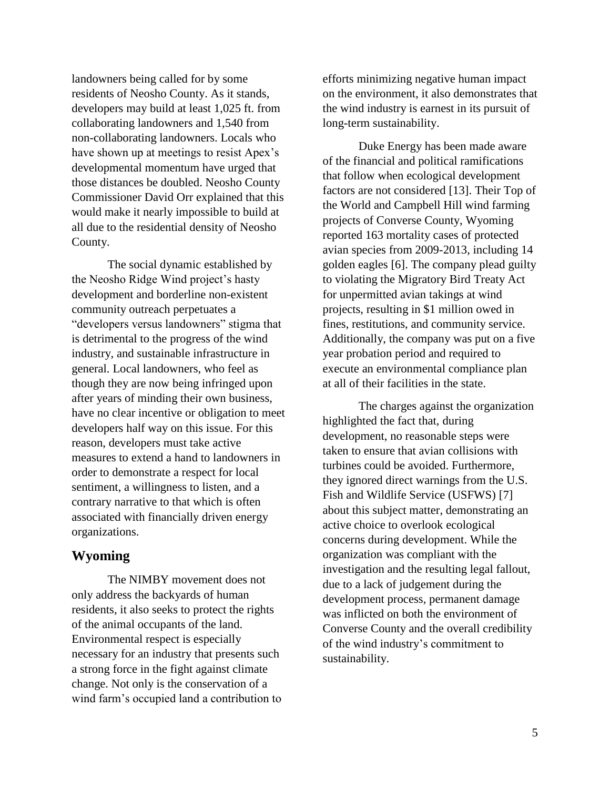landowners being called for by some residents of Neosho County. As it stands, developers may build at least 1,025 ft. from collaborating landowners and 1,540 from non-collaborating landowners. Locals who have shown up at meetings to resist Apex's developmental momentum have urged that those distances be doubled. Neosho County Commissioner David Orr explained that this would make it nearly impossible to build at all due to the residential density of Neosho County.

The social dynamic established by the Neosho Ridge Wind project's hasty development and borderline non-existent community outreach perpetuates a "developers versus landowners" stigma that is detrimental to the progress of the wind industry, and sustainable infrastructure in general. Local landowners, who feel as though they are now being infringed upon after years of minding their own business, have no clear incentive or obligation to meet developers half way on this issue. For this reason, developers must take active measures to extend a hand to landowners in order to demonstrate a respect for local sentiment, a willingness to listen, and a contrary narrative to that which is often associated with financially driven energy organizations.

## **Wyoming**

The NIMBY movement does not only address the backyards of human residents, it also seeks to protect the rights of the animal occupants of the land. Environmental respect is especially necessary for an industry that presents such a strong force in the fight against climate change. Not only is the conservation of a wind farm's occupied land a contribution to efforts minimizing negative human impact on the environment, it also demonstrates that the wind industry is earnest in its pursuit of long-term sustainability.

Duke Energy has been made aware of the financial and political ramifications that follow when ecological development factors are not considered [13]. Their Top of the World and Campbell Hill wind farming projects of Converse County, Wyoming reported 163 mortality cases of protected avian species from 2009-2013, including 14 golden eagles [6]. The company plead guilty to violating the Migratory Bird Treaty Act for unpermitted avian takings at wind projects, resulting in \$1 million owed in fines, restitutions, and community service. Additionally, the company was put on a five year probation period and required to execute an environmental compliance plan at all of their facilities in the state.

The charges against the organization highlighted the fact that, during development, no reasonable steps were taken to ensure that avian collisions with turbines could be avoided. Furthermore, they ignored direct warnings from the U.S. Fish and Wildlife Service (USFWS) [7] about this subject matter, demonstrating an active choice to overlook ecological concerns during development. While the organization was compliant with the investigation and the resulting legal fallout, due to a lack of judgement during the development process, permanent damage was inflicted on both the environment of Converse County and the overall credibility of the wind industry's commitment to sustainability.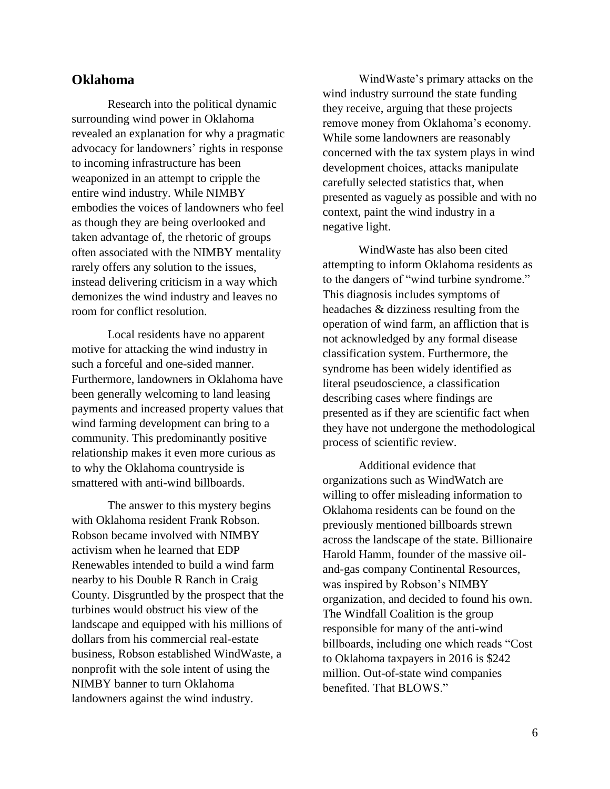#### **Oklahoma**

Research into the political dynamic surrounding wind power in Oklahoma revealed an explanation for why a pragmatic advocacy for landowners' rights in response to incoming infrastructure has been weaponized in an attempt to cripple the entire wind industry. While NIMBY embodies the voices of landowners who feel as though they are being overlooked and taken advantage of, the rhetoric of groups often associated with the NIMBY mentality rarely offers any solution to the issues, instead delivering criticism in a way which demonizes the wind industry and leaves no room for conflict resolution.

Local residents have no apparent motive for attacking the wind industry in such a forceful and one-sided manner. Furthermore, landowners in Oklahoma have been generally welcoming to land leasing payments and increased property values that wind farming development can bring to a community. This predominantly positive relationship makes it even more curious as to why the Oklahoma countryside is smattered with anti-wind billboards.

The answer to this mystery begins with Oklahoma resident Frank Robson. Robson became involved with NIMBY activism when he learned that EDP Renewables intended to build a wind farm nearby to his Double R Ranch in Craig County. Disgruntled by the prospect that the turbines would obstruct his view of the landscape and equipped with his millions of dollars from his commercial real-estate business, Robson established WindWaste, a nonprofit with the sole intent of using the NIMBY banner to turn Oklahoma landowners against the wind industry.

WindWaste's primary attacks on the wind industry surround the state funding they receive, arguing that these projects remove money from Oklahoma's economy. While some landowners are reasonably concerned with the tax system plays in wind development choices, attacks manipulate carefully selected statistics that, when presented as vaguely as possible and with no context, paint the wind industry in a negative light.

WindWaste has also been cited attempting to inform Oklahoma residents as to the dangers of "wind turbine syndrome." This diagnosis includes symptoms of headaches & dizziness resulting from the operation of wind farm, an affliction that is not acknowledged by any formal disease classification system. Furthermore, the syndrome has been widely identified as literal pseudoscience, a classification describing cases where findings are presented as if they are scientific fact when they have not undergone the methodological process of scientific review.

Additional evidence that organizations such as WindWatch are willing to offer misleading information to Oklahoma residents can be found on the previously mentioned billboards strewn across the landscape of the state. Billionaire Harold Hamm, founder of the massive oiland-gas company Continental Resources, was inspired by Robson's NIMBY organization, and decided to found his own. The Windfall Coalition is the group responsible for many of the anti-wind billboards, including one which reads "Cost to Oklahoma taxpayers in 2016 is \$242 million. Out-of-state wind companies benefited. That BLOWS."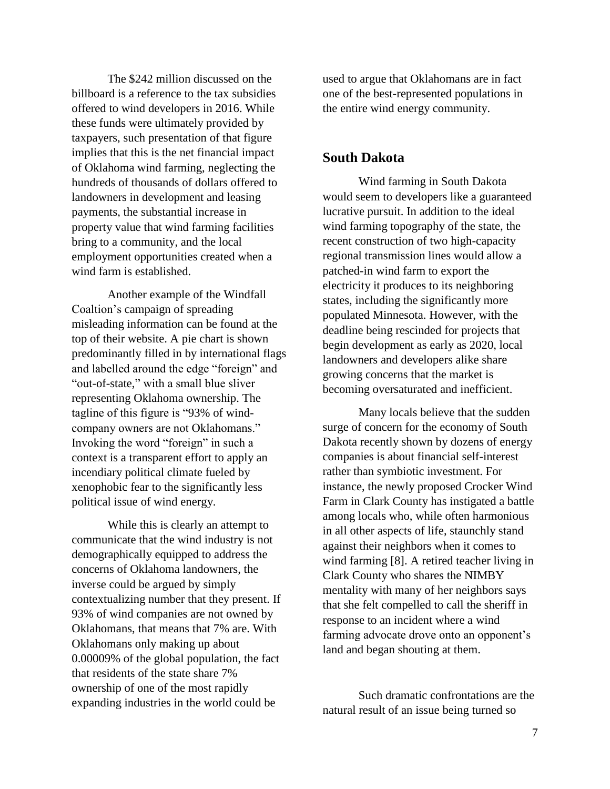The \$242 million discussed on the billboard is a reference to the tax subsidies offered to wind developers in 2016. While these funds were ultimately provided by taxpayers, such presentation of that figure implies that this is the net financial impact of Oklahoma wind farming, neglecting the hundreds of thousands of dollars offered to landowners in development and leasing payments, the substantial increase in property value that wind farming facilities bring to a community, and the local employment opportunities created when a wind farm is established.

Another example of the Windfall Coaltion's campaign of spreading misleading information can be found at the top of their website. A pie chart is shown predominantly filled in by international flags and labelled around the edge "foreign" and "out-of-state," with a small blue sliver representing Oklahoma ownership. The tagline of this figure is "93% of windcompany owners are not Oklahomans." Invoking the word "foreign" in such a context is a transparent effort to apply an incendiary political climate fueled by xenophobic fear to the significantly less political issue of wind energy.

While this is clearly an attempt to communicate that the wind industry is not demographically equipped to address the concerns of Oklahoma landowners, the inverse could be argued by simply contextualizing number that they present. If 93% of wind companies are not owned by Oklahomans, that means that 7% are. With Oklahomans only making up about 0.00009% of the global population, the fact that residents of the state share 7% ownership of one of the most rapidly expanding industries in the world could be

used to argue that Oklahomans are in fact one of the best-represented populations in the entire wind energy community.

#### **South Dakota**

Wind farming in South Dakota would seem to developers like a guaranteed lucrative pursuit. In addition to the ideal wind farming topography of the state, the recent construction of two high-capacity regional transmission lines would allow a patched-in wind farm to export the electricity it produces to its neighboring states, including the significantly more populated Minnesota. However, with the deadline being rescinded for projects that begin development as early as 2020, local landowners and developers alike share growing concerns that the market is becoming oversaturated and inefficient.

Many locals believe that the sudden surge of concern for the economy of South Dakota recently shown by dozens of energy companies is about financial self-interest rather than symbiotic investment. For instance, the newly proposed Crocker Wind Farm in Clark County has instigated a battle among locals who, while often harmonious in all other aspects of life, staunchly stand against their neighbors when it comes to wind farming [8]. A retired teacher living in Clark County who shares the NIMBY mentality with many of her neighbors says that she felt compelled to call the sheriff in response to an incident where a wind farming advocate drove onto an opponent's land and began shouting at them.

Such dramatic confrontations are the natural result of an issue being turned so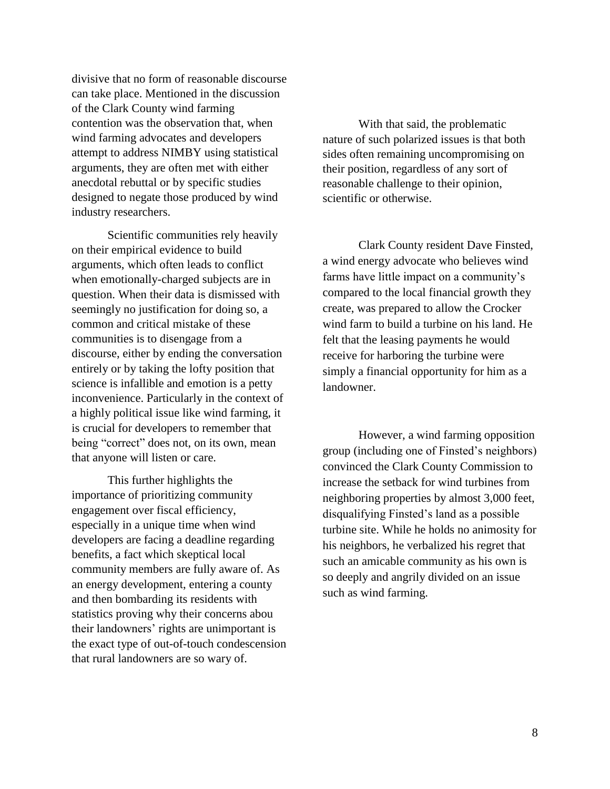divisive that no form of reasonable discourse can take place. Mentioned in the discussion of the Clark County wind farming contention was the observation that, when wind farming advocates and developers attempt to address NIMBY using statistical arguments, they are often met with either anecdotal rebuttal or by specific studies designed to negate those produced by wind industry researchers.

Scientific communities rely heavily on their empirical evidence to build arguments, which often leads to conflict when emotionally-charged subjects are in question. When their data is dismissed with seemingly no justification for doing so, a common and critical mistake of these communities is to disengage from a discourse, either by ending the conversation entirely or by taking the lofty position that science is infallible and emotion is a petty inconvenience. Particularly in the context of a highly political issue like wind farming, it is crucial for developers to remember that being "correct" does not, on its own, mean that anyone will listen or care.

This further highlights the importance of prioritizing community engagement over fiscal efficiency, especially in a unique time when wind developers are facing a deadline regarding benefits, a fact which skeptical local community members are fully aware of. As an energy development, entering a county and then bombarding its residents with statistics proving why their concerns abou their landowners' rights are unimportant is the exact type of out-of-touch condescension that rural landowners are so wary of.

With that said, the problematic nature of such polarized issues is that both sides often remaining uncompromising on their position, regardless of any sort of reasonable challenge to their opinion, scientific or otherwise.

Clark County resident Dave Finsted, a wind energy advocate who believes wind farms have little impact on a community's compared to the local financial growth they create, was prepared to allow the Crocker wind farm to build a turbine on his land. He felt that the leasing payments he would receive for harboring the turbine were simply a financial opportunity for him as a landowner.

However, a wind farming opposition group (including one of Finsted's neighbors) convinced the Clark County Commission to increase the setback for wind turbines from neighboring properties by almost 3,000 feet, disqualifying Finsted's land as a possible turbine site. While he holds no animosity for his neighbors, he verbalized his regret that such an amicable community as his own is so deeply and angrily divided on an issue such as wind farming.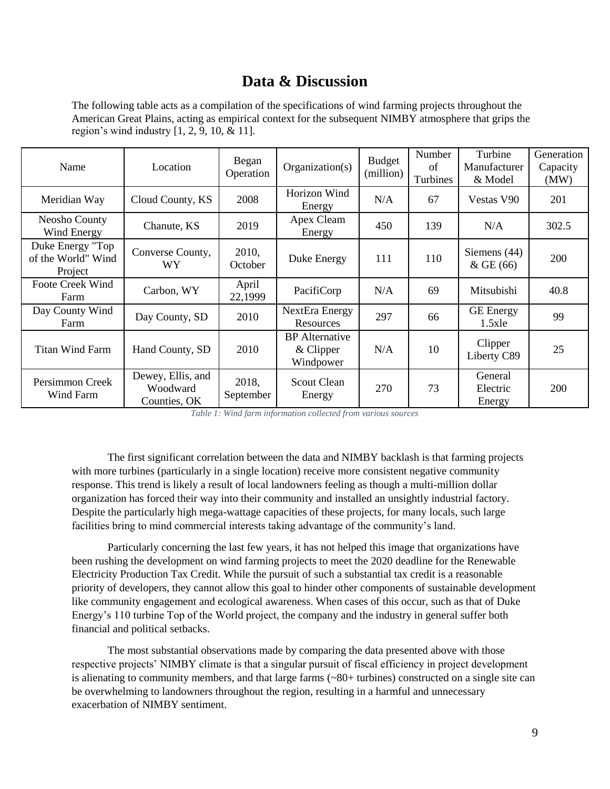# **Data & Discussion**

The following table acts as a compilation of the specifications of wind farming projects throughout the American Great Plains, acting as empirical context for the subsequent NIMBY atmosphere that grips the region's wind industry [1, 2, 9, 10, & 11].

| Name                                              | Location                                      | Began<br>Operation | Organization(s)                                   | <b>Budget</b><br>(million) | Number<br>of<br>Turbines | Turbine<br>Manufacturer<br>& Model | Generation<br>Capacity<br>(MW) |
|---------------------------------------------------|-----------------------------------------------|--------------------|---------------------------------------------------|----------------------------|--------------------------|------------------------------------|--------------------------------|
| Meridian Way                                      | Cloud County, KS                              | 2008               | Horizon Wind<br>Energy                            | N/A                        | 67                       | Vestas V90                         | 201                            |
| Neosho County<br>Wind Energy                      | Chanute, KS                                   | 2019               | Apex Cleam<br>Energy                              | 450                        | 139                      | N/A                                | 302.5                          |
| Duke Energy "Top<br>of the World" Wind<br>Project | Converse County,<br>WY                        | 2010,<br>October   | Duke Energy                                       | 111                        | 110                      | Siemens $(44)$<br>$&$ GE (66)      | 200                            |
| <b>Foote Creek Wind</b><br>Farm                   | Carbon, WY                                    | April<br>22,1999   | PacifiCorp                                        | N/A                        | 69                       | Mitsubishi                         | 40.8                           |
| Day County Wind<br>Farm                           | Day County, SD                                | 2010               | NextEra Energy<br>Resources                       | 297                        | 66                       | <b>GE</b> Energy<br>1.5xle         | 99                             |
| <b>Titan Wind Farm</b>                            | Hand County, SD                               | 2010               | <b>BP</b> Alternative<br>$&$ Clipper<br>Windpower | N/A                        | 10                       | Clipper<br>Liberty C89             | 25                             |
| Persimmon Creek<br>Wind Farm                      | Dewey, Ellis, and<br>Woodward<br>Counties, OK | 2018,<br>September | <b>Scout Clean</b><br>Energy                      | 270                        | 73                       | General<br>Electric<br>Energy      | <b>200</b>                     |

*Table 1: Wind farm information collected from various sources*

The first significant correlation between the data and NIMBY backlash is that farming projects with more turbines (particularly in a single location) receive more consistent negative community response. This trend is likely a result of local landowners feeling as though a multi-million dollar organization has forced their way into their community and installed an unsightly industrial factory. Despite the particularly high mega-wattage capacities of these projects, for many locals, such large facilities bring to mind commercial interests taking advantage of the community's land.

Particularly concerning the last few years, it has not helped this image that organizations have been rushing the development on wind farming projects to meet the 2020 deadline for the Renewable Electricity Production Tax Credit. While the pursuit of such a substantial tax credit is a reasonable priority of developers, they cannot allow this goal to hinder other components of sustainable development like community engagement and ecological awareness. When cases of this occur, such as that of Duke Energy's 110 turbine Top of the World project, the company and the industry in general suffer both financial and political setbacks.

The most substantial observations made by comparing the data presented above with those respective projects' NIMBY climate is that a singular pursuit of fiscal efficiency in project development is alienating to community members, and that large farms  $(\sim 80+$  turbines) constructed on a single site can be overwhelming to landowners throughout the region, resulting in a harmful and unnecessary exacerbation of NIMBY sentiment.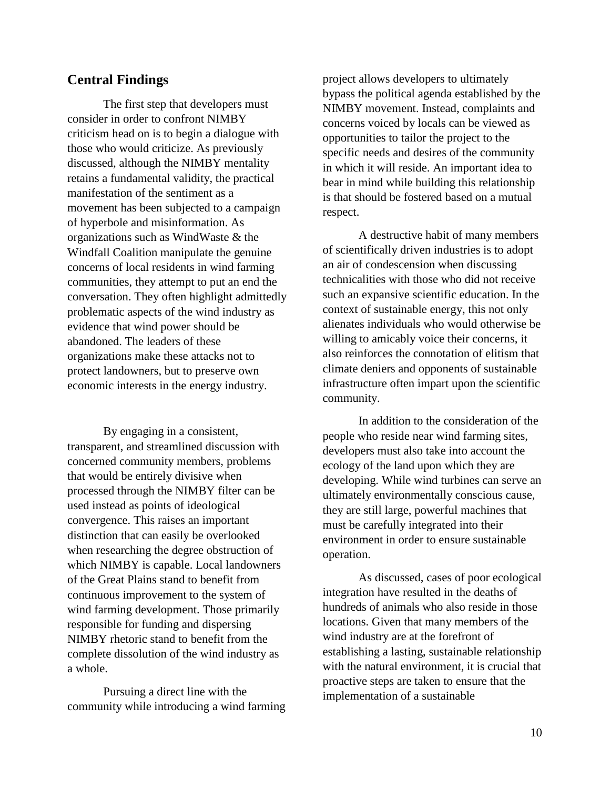## **Central Findings**

The first step that developers must consider in order to confront NIMBY criticism head on is to begin a dialogue with those who would criticize. As previously discussed, although the NIMBY mentality retains a fundamental validity, the practical manifestation of the sentiment as a movement has been subjected to a campaign of hyperbole and misinformation. As organizations such as WindWaste & the Windfall Coalition manipulate the genuine concerns of local residents in wind farming communities, they attempt to put an end the conversation. They often highlight admittedly problematic aspects of the wind industry as evidence that wind power should be abandoned. The leaders of these organizations make these attacks not to protect landowners, but to preserve own economic interests in the energy industry.

By engaging in a consistent, transparent, and streamlined discussion with concerned community members, problems that would be entirely divisive when processed through the NIMBY filter can be used instead as points of ideological convergence. This raises an important distinction that can easily be overlooked when researching the degree obstruction of which NIMBY is capable. Local landowners of the Great Plains stand to benefit from continuous improvement to the system of wind farming development. Those primarily responsible for funding and dispersing NIMBY rhetoric stand to benefit from the complete dissolution of the wind industry as a whole.

Pursuing a direct line with the community while introducing a wind farming project allows developers to ultimately bypass the political agenda established by the NIMBY movement. Instead, complaints and concerns voiced by locals can be viewed as opportunities to tailor the project to the specific needs and desires of the community in which it will reside. An important idea to bear in mind while building this relationship is that should be fostered based on a mutual respect.

A destructive habit of many members of scientifically driven industries is to adopt an air of condescension when discussing technicalities with those who did not receive such an expansive scientific education. In the context of sustainable energy, this not only alienates individuals who would otherwise be willing to amicably voice their concerns, it also reinforces the connotation of elitism that climate deniers and opponents of sustainable infrastructure often impart upon the scientific community.

In addition to the consideration of the people who reside near wind farming sites, developers must also take into account the ecology of the land upon which they are developing. While wind turbines can serve an ultimately environmentally conscious cause, they are still large, powerful machines that must be carefully integrated into their environment in order to ensure sustainable operation.

As discussed, cases of poor ecological integration have resulted in the deaths of hundreds of animals who also reside in those locations. Given that many members of the wind industry are at the forefront of establishing a lasting, sustainable relationship with the natural environment, it is crucial that proactive steps are taken to ensure that the implementation of a sustainable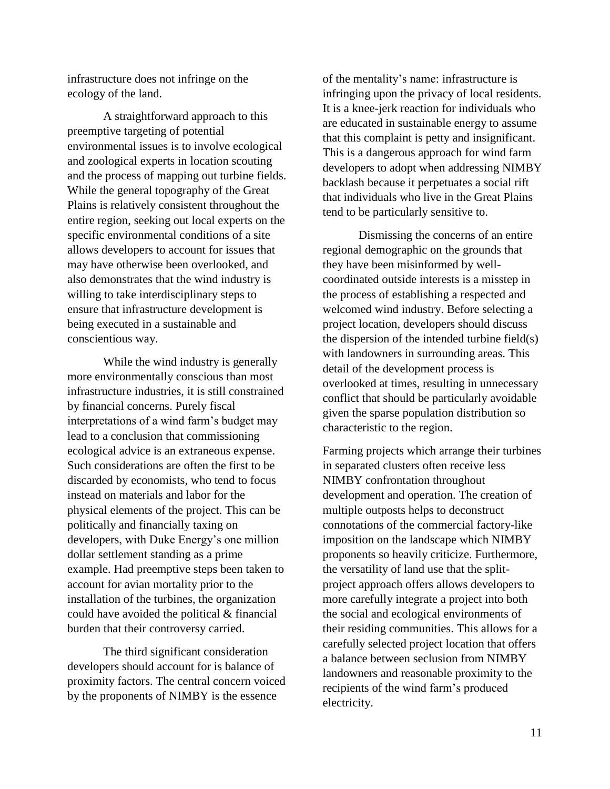infrastructure does not infringe on the ecology of the land.

A straightforward approach to this preemptive targeting of potential environmental issues is to involve ecological and zoological experts in location scouting and the process of mapping out turbine fields. While the general topography of the Great Plains is relatively consistent throughout the entire region, seeking out local experts on the specific environmental conditions of a site allows developers to account for issues that may have otherwise been overlooked, and also demonstrates that the wind industry is willing to take interdisciplinary steps to ensure that infrastructure development is being executed in a sustainable and conscientious way.

While the wind industry is generally more environmentally conscious than most infrastructure industries, it is still constrained by financial concerns. Purely fiscal interpretations of a wind farm's budget may lead to a conclusion that commissioning ecological advice is an extraneous expense. Such considerations are often the first to be discarded by economists, who tend to focus instead on materials and labor for the physical elements of the project. This can be politically and financially taxing on developers, with Duke Energy's one million dollar settlement standing as a prime example. Had preemptive steps been taken to account for avian mortality prior to the installation of the turbines, the organization could have avoided the political & financial burden that their controversy carried.

The third significant consideration developers should account for is balance of proximity factors. The central concern voiced by the proponents of NIMBY is the essence

of the mentality's name: infrastructure is infringing upon the privacy of local residents. It is a knee-jerk reaction for individuals who are educated in sustainable energy to assume that this complaint is petty and insignificant. This is a dangerous approach for wind farm developers to adopt when addressing NIMBY backlash because it perpetuates a social rift that individuals who live in the Great Plains tend to be particularly sensitive to.

Dismissing the concerns of an entire regional demographic on the grounds that they have been misinformed by wellcoordinated outside interests is a misstep in the process of establishing a respected and welcomed wind industry. Before selecting a project location, developers should discuss the dispersion of the intended turbine field(s) with landowners in surrounding areas. This detail of the development process is overlooked at times, resulting in unnecessary conflict that should be particularly avoidable given the sparse population distribution so characteristic to the region.

Farming projects which arrange their turbines in separated clusters often receive less NIMBY confrontation throughout development and operation. The creation of multiple outposts helps to deconstruct connotations of the commercial factory-like imposition on the landscape which NIMBY proponents so heavily criticize. Furthermore, the versatility of land use that the splitproject approach offers allows developers to more carefully integrate a project into both the social and ecological environments of their residing communities. This allows for a carefully selected project location that offers a balance between seclusion from NIMBY landowners and reasonable proximity to the recipients of the wind farm's produced electricity.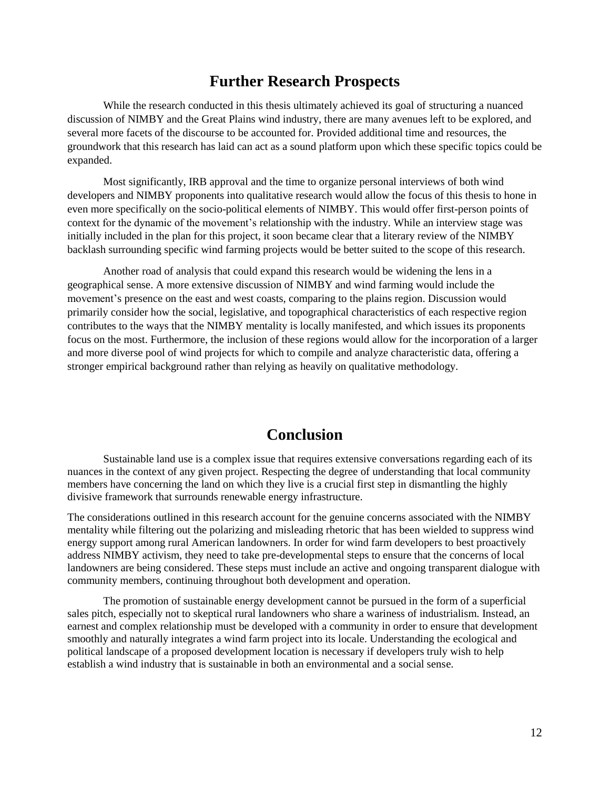## **Further Research Prospects**

While the research conducted in this thesis ultimately achieved its goal of structuring a nuanced discussion of NIMBY and the Great Plains wind industry, there are many avenues left to be explored, and several more facets of the discourse to be accounted for. Provided additional time and resources, the groundwork that this research has laid can act as a sound platform upon which these specific topics could be expanded.

Most significantly, IRB approval and the time to organize personal interviews of both wind developers and NIMBY proponents into qualitative research would allow the focus of this thesis to hone in even more specifically on the socio-political elements of NIMBY. This would offer first-person points of context for the dynamic of the movement's relationship with the industry. While an interview stage was initially included in the plan for this project, it soon became clear that a literary review of the NIMBY backlash surrounding specific wind farming projects would be better suited to the scope of this research.

Another road of analysis that could expand this research would be widening the lens in a geographical sense. A more extensive discussion of NIMBY and wind farming would include the movement's presence on the east and west coasts, comparing to the plains region. Discussion would primarily consider how the social, legislative, and topographical characteristics of each respective region contributes to the ways that the NIMBY mentality is locally manifested, and which issues its proponents focus on the most. Furthermore, the inclusion of these regions would allow for the incorporation of a larger and more diverse pool of wind projects for which to compile and analyze characteristic data, offering a stronger empirical background rather than relying as heavily on qualitative methodology.

## **Conclusion**

Sustainable land use is a complex issue that requires extensive conversations regarding each of its nuances in the context of any given project. Respecting the degree of understanding that local community members have concerning the land on which they live is a crucial first step in dismantling the highly divisive framework that surrounds renewable energy infrastructure.

The considerations outlined in this research account for the genuine concerns associated with the NIMBY mentality while filtering out the polarizing and misleading rhetoric that has been wielded to suppress wind energy support among rural American landowners. In order for wind farm developers to best proactively address NIMBY activism, they need to take pre-developmental steps to ensure that the concerns of local landowners are being considered. These steps must include an active and ongoing transparent dialogue with community members, continuing throughout both development and operation.

The promotion of sustainable energy development cannot be pursued in the form of a superficial sales pitch, especially not to skeptical rural landowners who share a wariness of industrialism. Instead, an earnest and complex relationship must be developed with a community in order to ensure that development smoothly and naturally integrates a wind farm project into its locale. Understanding the ecological and political landscape of a proposed development location is necessary if developers truly wish to help establish a wind industry that is sustainable in both an environmental and a social sense.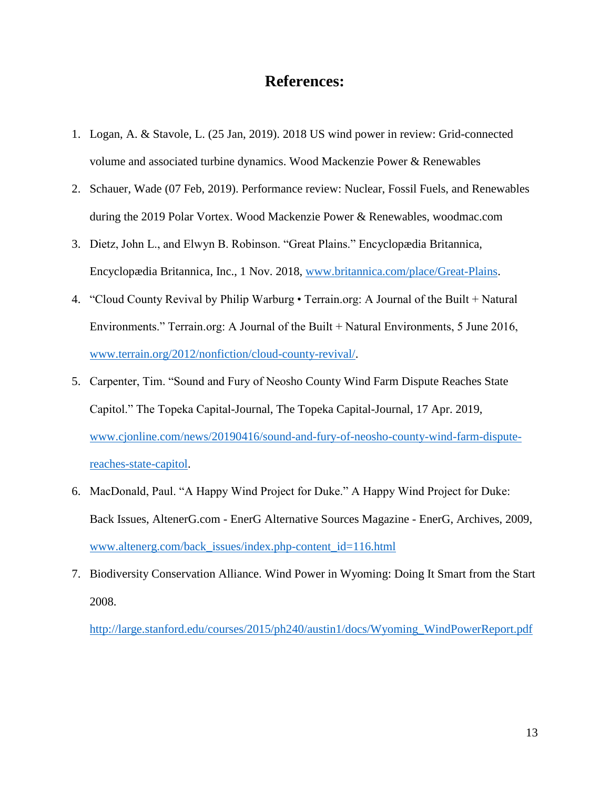## **References:**

- 1. Logan, A. & Stavole, L. (25 Jan, 2019). 2018 US wind power in review: Grid-connected volume and associated turbine dynamics. Wood Mackenzie Power & Renewables
- 2. Schauer, Wade (07 Feb, 2019). Performance review: Nuclear, Fossil Fuels, and Renewables during the 2019 Polar Vortex. Wood Mackenzie Power & Renewables, woodmac.com
- 3. Dietz, John L., and Elwyn B. Robinson. "Great Plains." Encyclopædia Britannica, Encyclopædia Britannica, Inc., 1 Nov. 2018, [www.britannica.com/place/Great-Plains.](http://www.britannica.com/place/Great-Plains)
- 4. "Cloud County Revival by Philip Warburg Terrain.org: A Journal of the Built + Natural Environments." Terrain.org: A Journal of the Built + Natural Environments, 5 June 2016, [www.terrain.org/2012/nonfiction/cloud-county-revival/.](http://www.terrain.org/2012/nonfiction/cloud-county-revival/)
- 5. Carpenter, Tim. "Sound and Fury of Neosho County Wind Farm Dispute Reaches State Capitol." The Topeka Capital-Journal, The Topeka Capital-Journal, 17 Apr. 2019, [www.cjonline.com/news/20190416/sound-and-fury-of-neosho-county-wind-farm-dispute](http://www.cjonline.com/news/20190416/sound-and-fury-of-neosho-county-wind-farm-dispute-reaches-state-capitol)[reaches-state-capitol.](http://www.cjonline.com/news/20190416/sound-and-fury-of-neosho-county-wind-farm-dispute-reaches-state-capitol)
- 6. MacDonald, Paul. "A Happy Wind Project for Duke." A Happy Wind Project for Duke: Back Issues, AltenerG.com - EnerG Alternative Sources Magazine - EnerG, Archives, 2009, [www.altenerg.com/back\\_issues/index.php-content\\_id=116.html](http://www.altenerg.com/back_issues/index.php-content_id=116.html)
- 7. Biodiversity Conservation Alliance. Wind Power in Wyoming: Doing It Smart from the Start 2008.

[http://large.stanford.edu/courses/2015/ph240/austin1/docs/Wyoming\\_WindPowerReport.pdf](http://large.stanford.edu/courses/2015/ph240/austin1/docs/Wyoming_WindPowerReport.pdf)